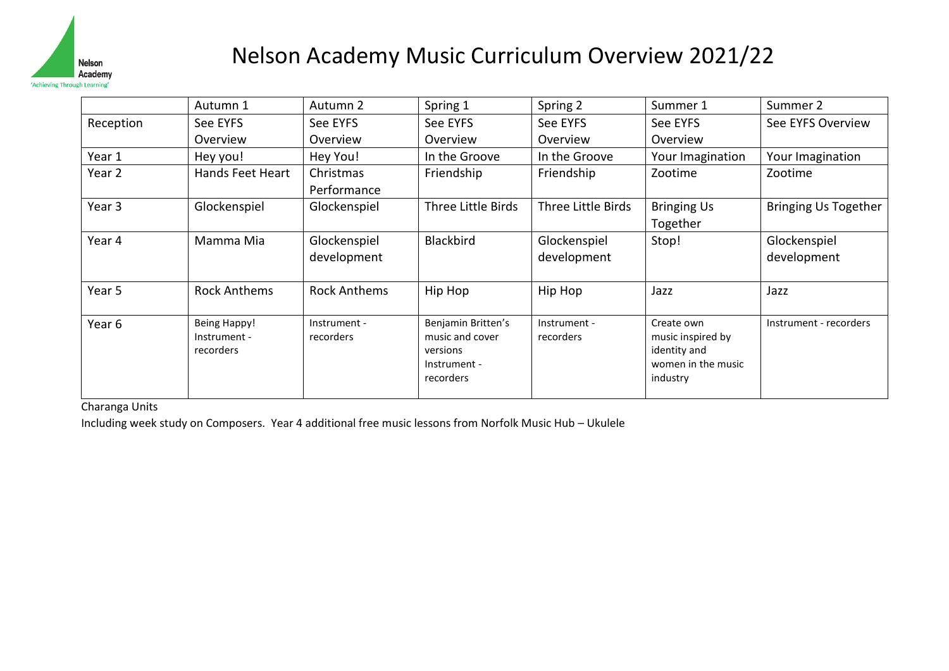

## Nelson Academy Music Curriculum Overview 2021/22

|                   | Autumn 1                                         | Autumn 2                    | Spring 1                                                                       | Spring 2                    | Summer 1                                                                          | Summer 2                    |
|-------------------|--------------------------------------------------|-----------------------------|--------------------------------------------------------------------------------|-----------------------------|-----------------------------------------------------------------------------------|-----------------------------|
| Reception         | See EYFS                                         | See EYFS                    | See EYFS                                                                       | See EYFS                    | See EYFS                                                                          | See EYFS Overview           |
|                   | Overview                                         | Overview                    | Overview                                                                       | Overview                    | Overview                                                                          |                             |
| Year 1            | Hey you!                                         | Hey You!                    | In the Groove                                                                  | In the Groove               | Your Imagination                                                                  | Your Imagination            |
| Year 2            | Hands Feet Heart                                 | Christmas<br>Performance    | Friendship                                                                     | Friendship                  | Zootime                                                                           | Zootime                     |
| Year <sub>3</sub> | Glockenspiel                                     | Glockenspiel                | Three Little Birds                                                             | Three Little Birds          | <b>Bringing Us</b><br>Together                                                    | <b>Bringing Us Together</b> |
| Year 4            | Mamma Mia                                        | Glockenspiel<br>development | <b>Blackbird</b>                                                               | Glockenspiel<br>development | Stop!                                                                             | Glockenspiel<br>development |
| Year 5            | <b>Rock Anthems</b>                              | <b>Rock Anthems</b>         | Hip Hop                                                                        | Hip Hop                     | Jazz                                                                              | Jazz                        |
| Year <sub>6</sub> | <b>Being Happy!</b><br>Instrument -<br>recorders | Instrument -<br>recorders   | Benjamin Britten's<br>music and cover<br>versions<br>Instrument -<br>recorders | Instrument -<br>recorders   | Create own<br>music inspired by<br>identity and<br>women in the music<br>industry | Instrument - recorders      |

Charanga Units

Including week study on Composers. Year 4 additional free music lessons from Norfolk Music Hub – Ukulele